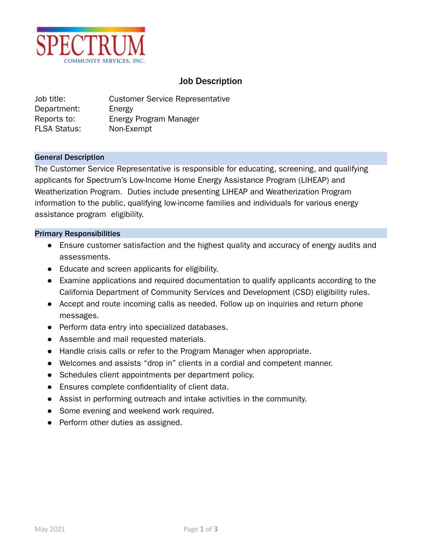

# Job Description

Job title: Customer Service Representative Department: Energy Reports to: Energy Program Manager FLSA Status: Non-Exempt

#### General Description

The Customer Service Representative is responsible for educating, screening, and qualifying applicants for Spectrum's Low-Income Home Energy Assistance Program (LIHEAP) and Weatherization Program. Duties include presenting LIHEAP and Weatherization Program information to the public, qualifying low-income families and individuals for various energy assistance program eligibility.

#### Primary Responsibilities

- Ensure customer satisfaction and the highest quality and accuracy of energy audits and assessments.
- Educate and screen applicants for eligibility.
- Examine applications and required documentation to qualify applicants according to the California Department of Community Services and Development (CSD) eligibility rules.
- Accept and route incoming calls as needed. Follow up on inquiries and return phone messages.
- Perform data entry into specialized databases.
- Assemble and mail requested materials.
- Handle crisis calls or refer to the Program Manager when appropriate.
- Welcomes and assists "drop in" clients in a cordial and competent manner.
- Schedules client appointments per department policy.
- Ensures complete confidentiality of client data.
- Assist in performing outreach and intake activities in the community.
- Some evening and weekend work required.
- Perform other duties as assigned.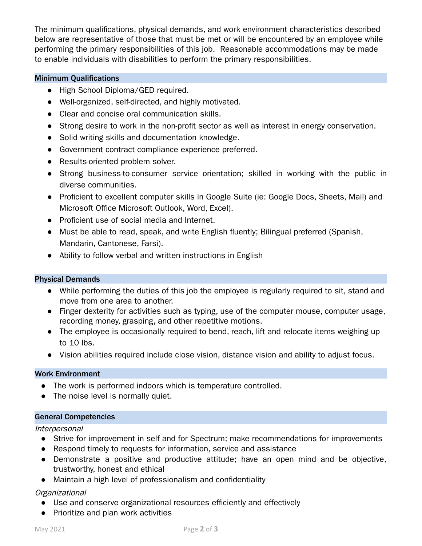The minimum qualifications, physical demands, and work environment characteristics described below are representative of those that must be met or will be encountered by an employee while performing the primary responsibilities of this job. Reasonable accommodations may be made to enable individuals with disabilities to perform the primary responsibilities.

#### Minimum Qualifications

- High School Diploma/GED required.
- Well-organized, self-directed, and highly motivated.
- Clear and concise oral communication skills.
- Strong desire to work in the non-profit sector as well as interest in energy conservation.
- Solid writing skills and documentation knowledge.
- Government contract compliance experience preferred.
- Results-oriented problem solver.
- Strong business-to-consumer service orientation; skilled in working with the public in diverse communities.
- Proficient to excellent computer skills in Google Suite (ie: Google Docs, Sheets, Mail) and Microsoft Office Microsoft Outlook, Word, Excel).
- Proficient use of social media and Internet.
- Must be able to read, speak, and write English fluently; Bilingual preferred (Spanish, Mandarin, Cantonese, Farsi).
- Ability to follow verbal and written instructions in English

### Physical Demands

- While performing the duties of this job the employee is regularly required to sit, stand and move from one area to another.
- Finger dexterity for activities such as typing, use of the computer mouse, computer usage, recording money, grasping, and other repetitive motions.
- The employee is occasionally required to bend, reach, lift and relocate items weighing up to 10 lbs.
- Vision abilities required include close vision, distance vision and ability to adjust focus.

### Work Environment

- The work is performed indoors which is temperature controlled.
- The noise level is normally quiet.

### General Competencies

### **Interpersonal**

- Strive for improvement in self and for Spectrum; make recommendations for improvements
- Respond timely to requests for information, service and assistance
- Demonstrate a positive and productive attitude; have an open mind and be objective, trustworthy, honest and ethical
- Maintain a high level of professionalism and confidentiality

## Organizational

- Use and conserve organizational resources efficiently and effectively
- Prioritize and plan work activities